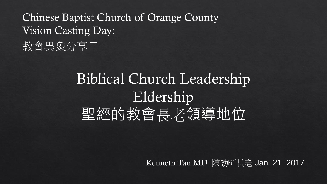Chinese Baptist Church of Orange County Vision Casting Day: 教會異象分享日

# Biblical Church Leadership Eldership 聖經的教會長老領導地位

Kenneth Tan MD 陳勁暉長老 Jan. 21, 2017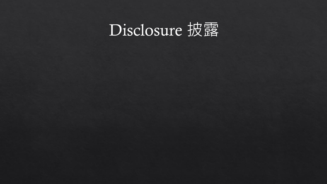# Disclosure 披露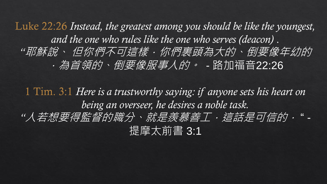Luke 22:26 *Instead, the greatest among you should be like the youngest, and the one who rules like the one who serves (deacon)* . *"*耶穌說、 但你們不可這樣.你們裏頭為大的、倒要像年幼的 .為首領的、倒要像服事人的。 *-* 路加福音22:26

1 Tim. 3:1 *Here is a trustworthy saying: if anyone sets his heart on being an overseer, he desires a noble task. "*人若想要得監督的職分、就是羨慕善工.這話是可信的. " - 提摩太前書 3:1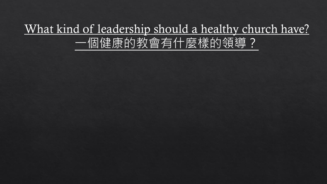### What kind of leadership should a healthy church have? 一個健康的教會有什麼樣的領導?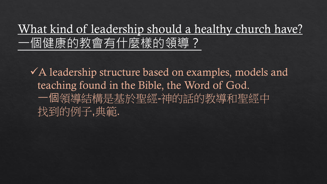### What kind of leadership should a healthy church have? 一個健康的教會有什麼樣的領導?

 $\checkmark$  A leadership structure based on examples, models and teaching found in the Bible, the Word of God. 一個領導結構是基於聖經-神的話的教導和聖經中 找到的例子,典範.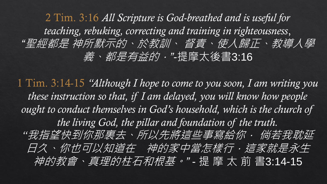2 Tim. 3:16 *All Scripture is God-breathed and is useful for teaching, rebuking, correcting and training in righteousness*, *"*聖經都是 神所默示的、於教訓、 督責、使人歸正、教導人學 義、都是有益的.*"-*提摩太後書3:16

1 Tim. 3:14-15 *"Although I hope to come to you soon, I am writing you these instruction so that, if I am delayed, you will know how people*  ought to conduct themselves in God's household, which is the church of *the living God, the pillar and foundation of the truth. "*我指望快到你那裏去、所以先將這些事寫給你. 倘若我耽延 日久、你也可以知道在 神的家中當怎樣行,這家就是永生 神的教會、真理的柱石和根基。*"* - 提 摩 太 前 書3:14-15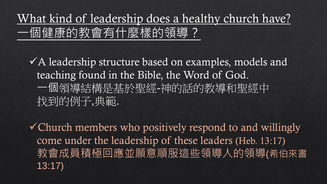### What kind of leadership does a healthy church have? 一個健康的教會有什麼樣的領導?

 $\checkmark$  A leadership structure based on examples, models and teaching found in the Bible, the Word of God. 一個領導結構是基於聖經-神的話的教導和聖經中 找到的例子,典範.

Church members who positively respond to and willingly come under the leadership of these leaders (Heb. 13:17) 教會成員積極回應並願意順服這些領導人的領導(希伯來書 13:17)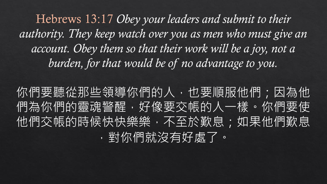Hebrews 13:17 *Obey your leaders and submit to their authority. They keep watch over you as men who must give an*  account. Obey them so that their work will be a joy, not a *burden, for that would be of no advantage to you.* 

你們要聽從那些領導你們的人,也要順服他們;因為他 們為你們的靈魂警醒,好像要交帳的人一樣。你們要使 他們交帳的時候快快樂樂,不至於歎息;如果他們歎息 ,對你們就沒有好處了。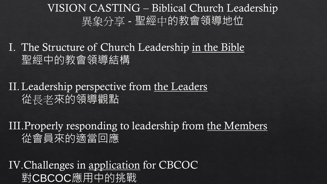### VISION CASTING – Biblical Church Leadership 異象分享 - 聖經中的教會領導地位

I. The Structure of Church Leadership in the Bible 聖經中的教會領導結構

#### II.Leadership perspective from the Leaders 從長老來的領導觀點

III.Properly responding to leadership from the Members 從會員來的適當回應

IV.Challenges in application for CBCOC 對CBCOC應用中的挑戰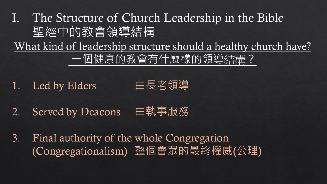I. The Structure of Church Leadership in the Bible 聖經中的教會領導結構 What kind of leadership structure should a healthy church have? 一個健康的教會有什麼樣的領導結構?

1. Led by Elders 由長老領導

2. Served by Deacons 由執事服務

3. Final authority of the whole Congregation (Congregationalism) 整個會眾的最終權威(公理)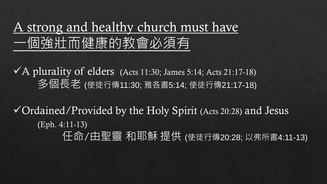### A strong and healthy church must have 一個強壯而健康的教會必須有

 $\sqrt{A}$  plurality of elders (Acts 11:30; James 5:14; Acts 21:17-18) 多個長老 (使徒行傳11:30; 雅各書5:14; 使徒行傳21:17-18)

 $\checkmark$  Ordained/Provided by the Holy Spirit (Acts 20:28) and Jesus (Eph. 4:11-13) 任命/由聖靈 和耶穌 提供 (使徒行傳20:28; 以弗所書4:11-13)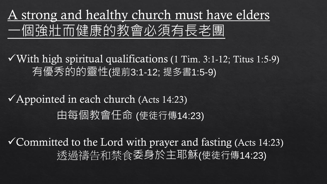A strong and healthy church must have elders 一個強壯而健康的教會必須有長老團

 $\sqrt{\text{With high spiritual qualities}}$  qualifications (1 Tim. 3:1-12; Titus 1:5-9) 有優秀的的靈性(提前3:1-12; 提多書1:5-9)

 $\checkmark$  Appointed in each church (Acts 14:23) 由每個教會任命 (使徒行傳14:23)

 $\checkmark$  Committed to the Lord with prayer and fasting (Acts 14:23) 透過禱告和禁食委身於主耶穌(使徒行傳14:23)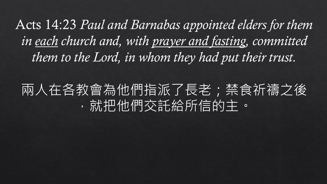Acts 14:23 *Paul and Barnabas appointed elders for them in each church and, with prayer and fasting, committed them to the Lord, in whom they had put their trust.* 

# 兩人在各教會為他們指派了長老;禁食祈禱之後 ,就把他們交託給所信的主。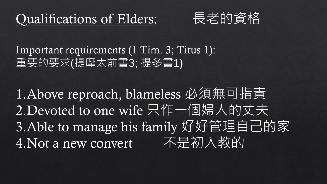



Important requirements (1 Tim. 3; Titus 1): 重要的要求(提摩太前書3; 提多書1)

1.Above reproach, blameless 必須無可指責 2.Devoted to one wife 只作一個婦人的丈夫 3.Able to manage his family 好好管理自己的家 4.Not a new convert 不是初入教的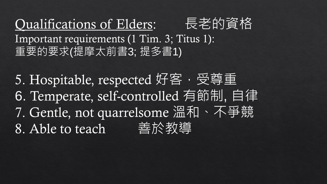Qualifications of Elders: 長老的資格 Important requirements (1 Tim. 3; Titus 1): 重要的要求(提摩太前書3; 提多書1)

5. Hospitable, respected 好客,受尊重 6. Temperate, self-controlled 有節制, 自律 7. Gentle, not quarrelsome 溫和、不爭競 8. Able to teach 善於教導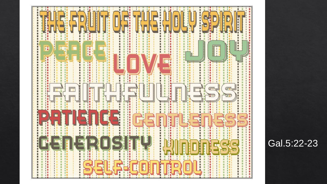

#### Gal.5:22-23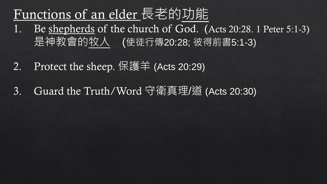# Functions of an elder 長老的功能

- Be shepherds of the church of God. (Acts 20:28. 1 Peter 5:1-3) 是神教會的牧人 (使徒行傳20:28; 彼得前書5:1-3)
- 2. Protect the sheep. 保護羊 (Acts 20:29)
- 3. Guard the Truth/Word 守衛真理/道 (Acts 20:30)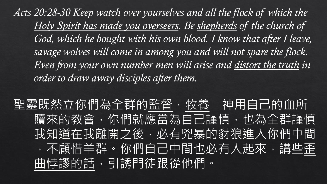Acts 20:28-30 Keep watch over yourselves and all the flock of which the *Holy Spirit has made you overseers. Be shepherds of the church of*  God, which he bought with his own blood. I know that after I leave, *savage wolves will come in among you and will not spare the flock. Even from your own number men will arise and distort the truth in order to draw away disciples after them.*

聖靈既然立你們為全群的監督,牧養 神用自己的血所 贖來的教會,你們就應當為自己謹慎,也為全群謹慎 我知道在我離開之後,必有兇暴的豺狼進入你們中間 ,不顧惜羊群。你們自己中間也必有人起來,講些歪 曲悖謬的話,引誘門徒跟從他們。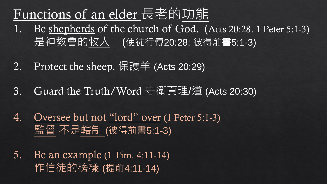### Functions of an elder 長老的功能

- 1. Be shepherds of the church of God. (Acts 20:28. 1 Peter 5:1-3) 是神教會的牧人 (使徒行傳20:28; 彼得前書5:1-3)
- 2. Protect the sheep. 保護羊 (Acts 20:29)
- 3. Guard the Truth/Word 守衛真理/道 (Acts 20:30)
- 4. Oversee but not "lord" over (1 Peter 5:1-3) 監督 不是轄制 (彼得前書5:1-3)
- 5. Be an example (1 Tim. 4:11-14) 作信徒的榜樣 (提前4:11-14)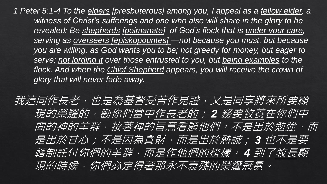*1 Peter 5:1-4 To the elders [presbuterous] among you, I appeal as a fellow elder, a*  witness of Christ's sufferings and one who also will share in the glory to be *revealed: Be shepherds [poimanate] of God's flock that is under your care, serving as overseers [episkopountes] —not because you must, but because you are willing, as God wants you to be; not greedy for money, but eager to serve; not lording it over those entrusted to you, but being examples to the flock. And when the Chief Shepherd appears, you will receive the crown of glory that will never fade away.*

我這同作長老,也是為基督受苦作見證,又是同享將來所要顯 現的榮耀的,勸你們當中作長老的: *2* 務要牧養在你們中 間的神的羊群,按著神的旨意看顧他們。不是出於勉強,而 是出於甘心;不是因為貪財,而是出於熱誠; *3* 也不是要 轄制託付你們的羊群,而是作他們的榜樣。 *4* 到了牧長顯 現的時候,你們必定得著那永不衰殘的榮耀冠冕。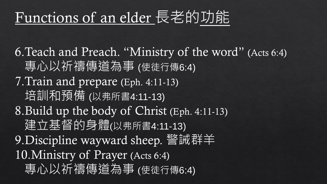# Functions of an elder 長老的功能

6.Teach and Preach. "Ministry of the word" (Acts 6:4) 專心以祈禱傳道為事 (使徒行傳6:4) 7.Train and prepare (Eph. 4:11-13) 培訓和預備 (以弗所書4:11-13) 8.Build up the body of Christ (Eph. 4:11-13) 建立基督的身體(以弗所書4:11-13) 9. Discipline wayward sheep. 警誡群羊 10.Ministry of Prayer (Acts 6:4) 專心以祈禱傳道為事 (使徒行傳6:4)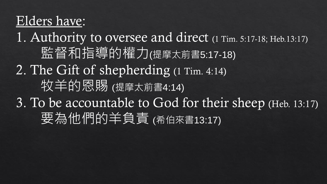### Elders have:

1. Authority to oversee and direct (1 Tim. 5:17-18; Heb.13:17) 監督和指導的權力(提摩太前書5:17-18) 2. The Gift of shepherding (1 Tim. 4:14) 牧羊的恩賜 (提摩太前書4:14) 3. To be accountable to God for their sheep (Heb. 13:17) 要為他們的羊負責 (希伯來書13:17)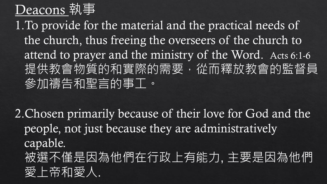# Deacons 執事

1.To provide for the material and the practical needs of the church, thus freeing the overseers of the church to attend to prayer and the ministry of the Word. Acts 6:1-6 提供教會物質的和實際的需要,從而釋放教會的監督員 參加禱告和聖言的事工。

2.Chosen primarily because of their love for God and the people, not just because they are administratively capable. 被選不僅是因為他們在行政上有能力, 主要是因為他們 愛上帝和愛人.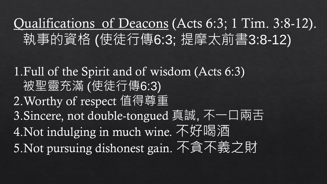# Qualifications of Deacons (Acts 6:3; 1 Tim. 3:8-12). 執事的資格 (使徒行傳6:3; 提摩太前書3:8-12)

1.Full of the Spirit and of wisdom (Acts 6:3) 被聖靈充滿 (使徒行傳6:3) 2.Worthy of respect 值得尊重 3.Sincere, not double-tongued 真誠, 不一口兩舌 4.Not indulging in much wine. 不好喝酒 5.Not pursuing dishonest gain. 不貪不義之財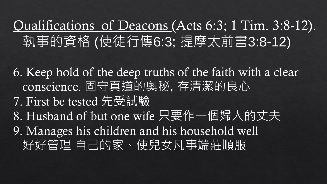# Qualifications of Deacons (Acts 6:3; 1 Tim. 3:8-12). 執事的資格 (使徒行傳6:3; 提摩太前書3:8-12)

6. Keep hold of the deep truths of the faith with a clear conscience. 固守真道的奧秘, 存清潔的良心 7. First be tested 先受試驗 8. Husband of but one wife 只要作一個婦人的丈夫

9. Manages his children and his household well 好好管理 自己的家、使兒女凡事端莊順服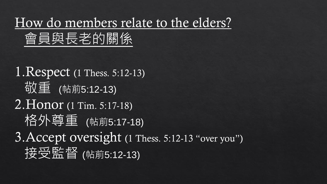How do members relate to the elders?

### 會員與長老的關係

### 1.Respect (1 Thess. 5:12-13) 敬重 (帖前5:12-13)

### 2.Honor (1 Tim. 5:17-18) 格外尊重 (帖前5:17-18)

# 3. Accept oversight (1 Thess. 5:12-13 "over you") 按受監督 (帖前5:12-13)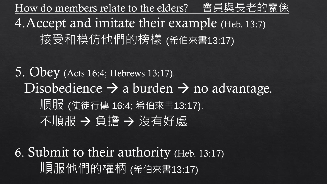How do members relate to the elders? 會員與長老的關係 4.Accept and imitate their example (Heb. 13:7) 接受和模仿他們的榜樣 (希伯來書13:17)

5. Obey (Acts 16:4; Hebrews 13:17). Disobedience  $\rightarrow$  a burden  $\rightarrow$  no advantage. 順服 (使徒行傳 16:4; 希伯來書13:17). 不順服 → 負擔 → 沒有好處

6. Submit to their authority (Heb. 13:17) 順服他們的權柄 (希伯來書13:17)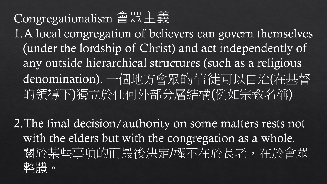### Congregationalism 會眾主義

1.A local congregation of believers can govern themselves (under the lordship of Christ) and act independently of any outside hierarchical structures (such as a religious denomination). 一個地方會眾的信徒可以自治(在基督 的領導下)獨立於任何外部分層結構(例如宗教名稱)

2.The final decision/authority on some matters rests not with the elders but with the congregation as a whole. 關於某些事項的而最後決定/權不在於長老,在於會眾 整體。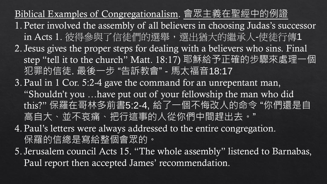Biblical Examples of Congregationalism. 會眾主義在聖經中的例證 1. Peter involved the assembly of all believers in choosing Judas's successor in Acts 1. 彼得參與了信徒們的選舉,選出猶大的繼承人-使徒行傳1 2. Jesus gives the proper steps for dealing with a believers who sins. Final step "tell it to the church" Matt. 18:17) 耶穌給予正確的步驟來處理一個 犯罪的信徒. 最後一步 "告訴教會" - 馬太福音18:17

- 3. Paul in 1 Cor. 5:2-4 gave the command for an unrepentant man, "Shouldn't you …have put out of your fellowship the man who did this?" 保羅在哥林多前書5:2-4, 給了一個不悔改人的命令 "你們還是自 高自大、並不哀痛、把行這事的人從你們中間趕出去。"
- 4. Paul's letters were always addressed to the entire congregation. 保羅的信總是寫給整個會眾的。
- 5. Jerusalem council Acts 15. "The whole assembly" listened to Barnabas, Paul report then accepted James' recommendation.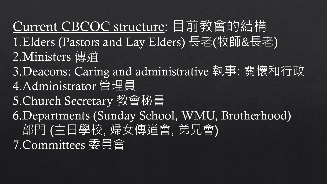Current CBCOC structure: 目前教會的結構 1.Elders (Pastors and Lay Elders) 長老(牧師&長老) 2.Ministers 傳道 3.Deacons: Caring and administrative 執事: 關懷和行政 4.Administrator 管理員 5.Church Secretary 教會秘書 6.Departments (Sunday School, WMU, Brotherhood) 部門 (主日學校, 婦女傳道會, 弟兄會) 7.Committees 委員會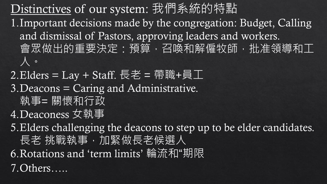Distinctives of our system: 我們系統的特點 1.Important decisions made by the congregation: Budget, Calling and dismissal of Pastors, approving leaders and workers. 會眾做出的重要決定:預算,召喚和解僱牧師,批准領導和工 人。

 $2.Elders = Lay + Staff. \n\in \n\mathbb{E} = \n\# 100 + \text{Staff}. \n\in \n\mathbb{E} = \n\# 100 + \text{Staff}.$ 3.Deacons = Caring and Administrative. 執事= 關懷和行政 4.Deaconess 女執事

5.Elders challenging the deacons to step up to be elder candidates. 長老 挑戰執事,加緊做長老候選人 6.Rotations and 'term limits' 輪流和"期限 7.Others…..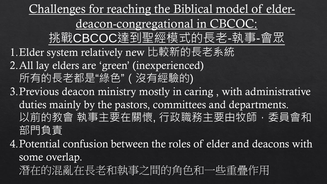Challenges for reaching the Biblical model of elderdeacon-congregational in CBCOC: 挑戰CBCOC達到聖經模式的長老-執事-會眾 1. Elder system relatively new 比較新的長老系統 2.All lay elders are 'green' (inexperienced) 所有的長老都是"綠色"(沒有經驗的) 3.Previous deacon ministry mostly in caring , with administrative duties mainly by the pastors, committees and departments. 以前的教會 執事主要在關懷, 行政職務主要由牧師,委員會和 部門負責

4.Potential confusion between the roles of elder and deacons with some overlap. 潛在的混亂在長老和執事之間的角色和一些重疊作用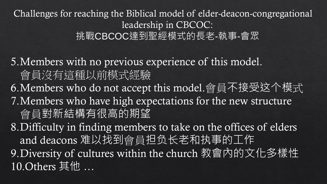Challenges for reaching the Biblical model of elder-deacon-congregational leadership in CBCOC: 挑戰CBCOC達到聖經模式的長老-執事-會眾

5.Members with no previous experience of this model. 會員沒有這種以前模式經驗

6.Members who do not accept this model.會員不接受这个模式 7.Members who have high expectations for the new structure 會員對新結構有很高的期望

8.Difficulty in finding members to take on the offices of elders and deacons 难以找到會員担负长老和执事的工作 9.Diversity of cultures within the church 教會內的文化多樣性 10.Others 其他 …